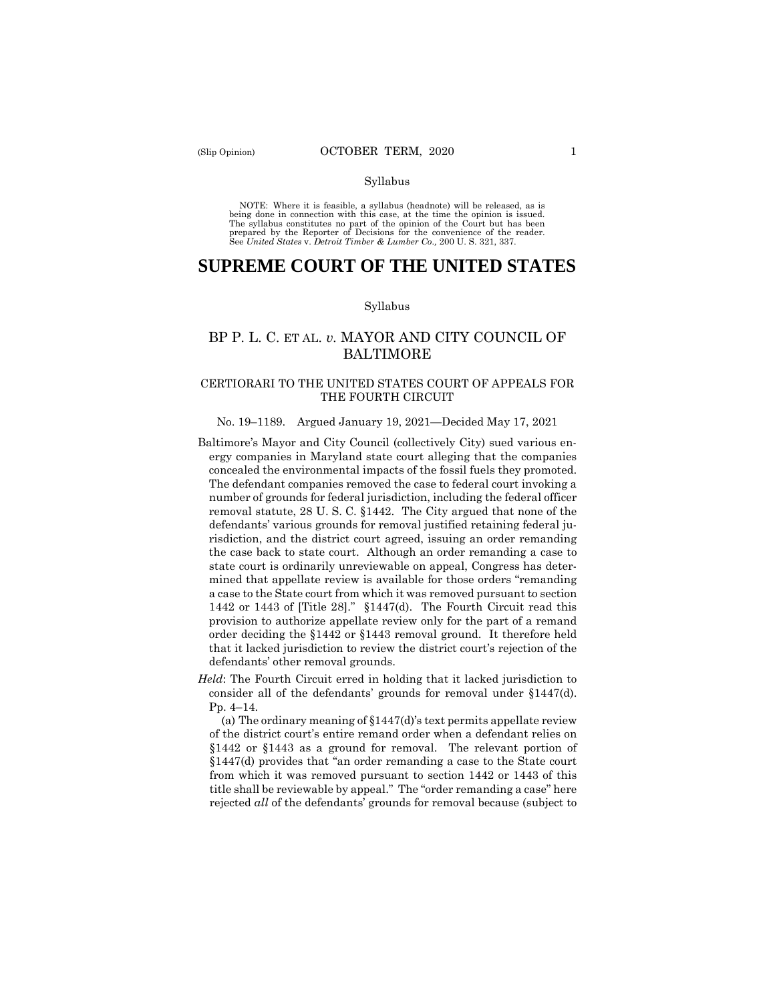#### Syllabus

 NOTE: Where it is feasible, a syllabus (headnote) will be released, as is being done in connection with this case, at the time the opinion is issued. The syllabus constitutes no part of the opinion of the Court but has been<br>prepared by the Reporter of Decisions for the convenience of the reader.<br>See United States v. Detroit Timber & Lumber Co., 200 U.S. 321, 337.

# **SUPREME COURT OF THE UNITED STATES**

#### Syllabus

## BP P. L. C. ET AL. *v.* MAYOR AND CITY COUNCIL OF BALTIMORE

## CERTIORARI TO THE UNITED STATES COURT OF APPEALS FOR THE FOURTH CIRCUIT

#### No. 19–1189. Argued January 19, 2021—Decided May 17, 2021

- Baltimore's Mayor and City Council (collectively City) sued various en- concealed the environmental impacts of the fossil fuels they promoted. The defendant companies removed the case to federal court invoking a number of grounds for federal jurisdiction, including the federal officer removal statute, 28 U. S. C. §1442. The City argued that none of the risdiction, and the district court agreed, issuing an order remanding mined that appellate review is available for those orders "remanding a case to the State court from which it was removed pursuant to section 1442 or 1443 of [Title 28]." §1447(d). The Fourth Circuit read this provision to authorize appellate review only for the part of a remand order deciding the §1442 or §1443 removal ground. It therefore held that it lacked jurisdiction to review the district court's rejection of the ergy companies in Maryland state court alleging that the companies defendants' various grounds for removal justified retaining federal juthe case back to state court. Although an order remanding a case to state court is ordinarily unreviewable on appeal, Congress has deterdefendants' other removal grounds.
- consider all of the defendants' grounds for removal under §1447(d). Pp. 4–14. Pp.  $4-14$ . *Held*: The Fourth Circuit erred in holding that it lacked jurisdiction to

 §1442 or §1443 as a ground for removal. The relevant portion of §1447(d) provides that "an order remanding a case to the State court from which it was removed pursuant to section 1442 or 1443 of this title shall be reviewable by appeal." The "order remanding a case" here (a) The ordinary meaning of  $$1447(d)$ 's text permits appellate review of the district court's entire remand order when a defendant relies on rejected *all* of the defendants' grounds for removal because (subject to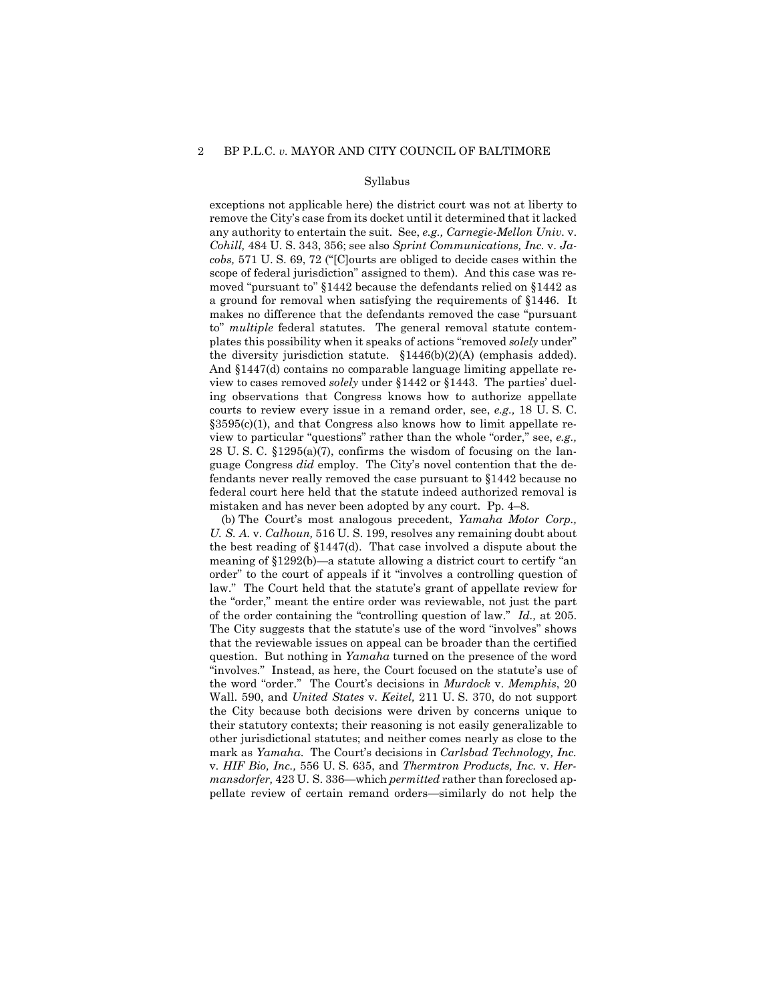#### Syllabus

 remove the City's case from its docket until it determined that it lacked any authority to entertain the suit. See, *e.g., Carnegie-Mellon Univ.* v. *Cohill,* 484 U. S. 343, 356; see also *Sprint Communications, Inc.* v. *Ja- cobs,* 571 U. S. 69, 72 ("[C]ourts are obliged to decide cases within the a ground for removal when satisfying the requirements of §1446. It makes no difference that the defendants removed the case "pursuant the diversity jurisdiction statute. §1446(b)(2)(A) (emphasis added). view to cases removed *solely* under §1442 or §1443. The parties' duel- courts to review every issue in a remand order, see, *e.g.,* 18 U. S. C. 28 U.S. C.  $\S 1295(a)(7)$ , confirms the wisdom of focusing on the lan- fendants never really removed the case pursuant to §1442 because no federal court here held that the statute indeed authorized removal is mistaken and has never been adopted by any court. Pp. 4–8. exceptions not applicable here) the district court was not at liberty to scope of federal jurisdiction" assigned to them). And this case was removed "pursuant to" §1442 because the defendants relied on §1442 as to" *multiple* federal statutes. The general removal statute contemplates this possibility when it speaks of actions "removed *solely* under" And §1447(d) contains no comparable language limiting appellate reing observations that Congress knows how to authorize appellate  $§3595(c)(1)$ , and that Congress also knows how to limit appellate review to particular "questions" rather than the whole "order," see, *e.g.,*  guage Congress *did* employ. The City's novel contention that the de-

 *U. S. A.* v. *Calhoun,* 516 U. S. 199, resolves any remaining doubt about the best reading of §1447(d). That case involved a dispute about the meaning of §1292(b)—a statute allowing a district court to certify "an order" to the court of appeals if it "involves a controlling question of of the order containing the "controlling question of law." *Id.,* at 205. question. But nothing in *Yamaha* turned on the presence of the word the word "order." The Court's decisions in *Murdock* v. *Memphis*, 20 Wall. 590, and *United States* v. *Keitel,* 211 U. S. 370, do not support the City because both decisions were driven by concerns unique to mark as *Yamaha*. The Court's decisions in *Carlsbad Technology, Inc.*  v. *HIF Bio, Inc.,* 556 U. S. 635, and *Thermtron Products, Inc.* v. *Her- mansdorfer,* 423 U. S. 336—which *permitted* rather than foreclosed ap-(b) The Court's most analogous precedent, *Yamaha Motor Corp.,*  law." The Court held that the statute's grant of appellate review for the "order," meant the entire order was reviewable, not just the part The City suggests that the statute's use of the word "involves" shows that the reviewable issues on appeal can be broader than the certified "involves." Instead, as here, the Court focused on the statute's use of their statutory contexts; their reasoning is not easily generalizable to other jurisdictional statutes; and neither comes nearly as close to the pellate review of certain remand orders—similarly do not help the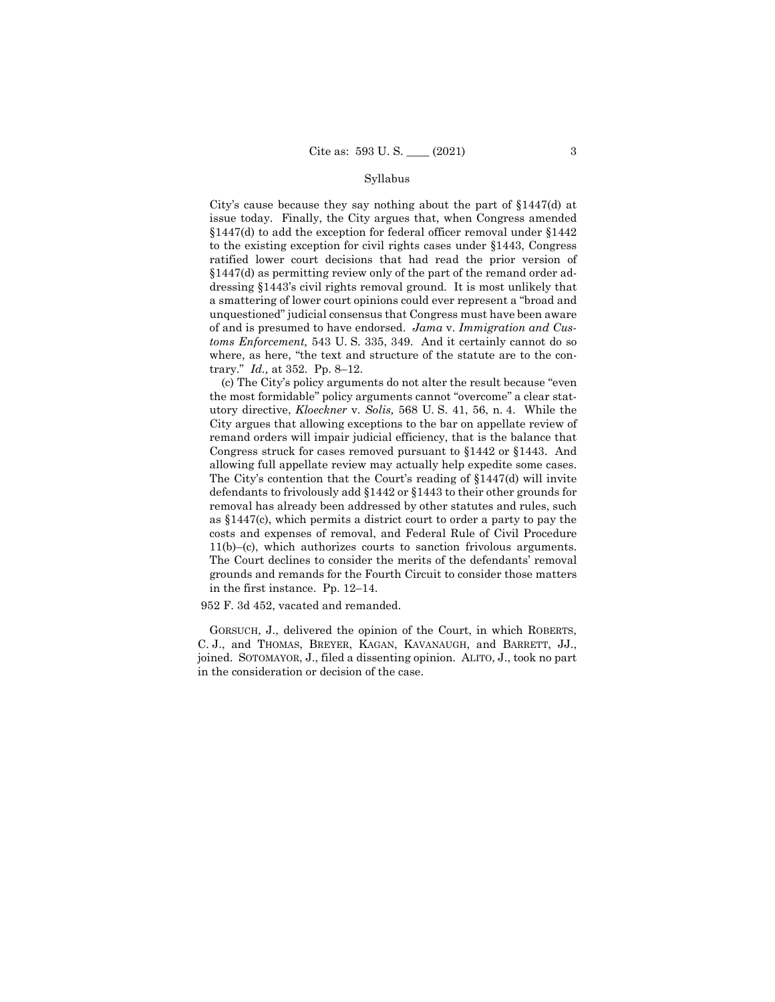#### Syllabus

 issue today. Finally, the City argues that, when Congress amended §1447(d) as permitting review only of the part of the remand order ad- a smattering of lower court opinions could ever represent a "broad and of and is presumed to have endorsed. *Jama* v. *Immigration and Cus- toms Enforcement,* 543 U. S. 335, 349. And it certainly cannot do so trary." *Id.,* at 352. Pp. 8–12. City's cause because they say nothing about the part of §1447(d) at §1447(d) to add the exception for federal officer removal under §1442 to the existing exception for civil rights cases under §1443, Congress ratified lower court decisions that had read the prior version of dressing §1443's civil rights removal ground. It is most unlikely that unquestioned" judicial consensus that Congress must have been aware where, as here, "the text and structure of the statute are to the con-

 the most formidable" policy arguments cannot "overcome" a clear stat- City argues that allowing exceptions to the bar on appellate review of Congress struck for cases removed pursuant to §1442 or §1443. And allowing full appellate review may actually help expedite some cases. removal has already been addressed by other statutes and rules, such as §1447(c), which permits a district court to order a party to pay the costs and expenses of removal, and Federal Rule of Civil Procedure 11(b)–(c), which authorizes courts to sanction frivolous arguments. in the first instance. Pp. 12–14. (c) The City's policy arguments do not alter the result because "even utory directive, *Kloeckner* v. *Solis,* 568 U. S. 41, 56, n. 4. While the remand orders will impair judicial efficiency, that is the balance that The City's contention that the Court's reading of  $$1447(d)$  will invite defendants to frivolously add §1442 or §1443 to their other grounds for The Court declines to consider the merits of the defendants' removal grounds and remands for the Fourth Circuit to consider those matters

952 F. 3d 452, vacated and remanded.

 GORSUCH, J., delivered the opinion of the Court, in which ROBERTS, joined. SOTOMAYOR, J., filed a dissenting opinion. ALITO, J., took no part C. J., and THOMAS, BREYER, KAGAN, KAVANAUGH, and BARRETT, JJ., in the consideration or decision of the case.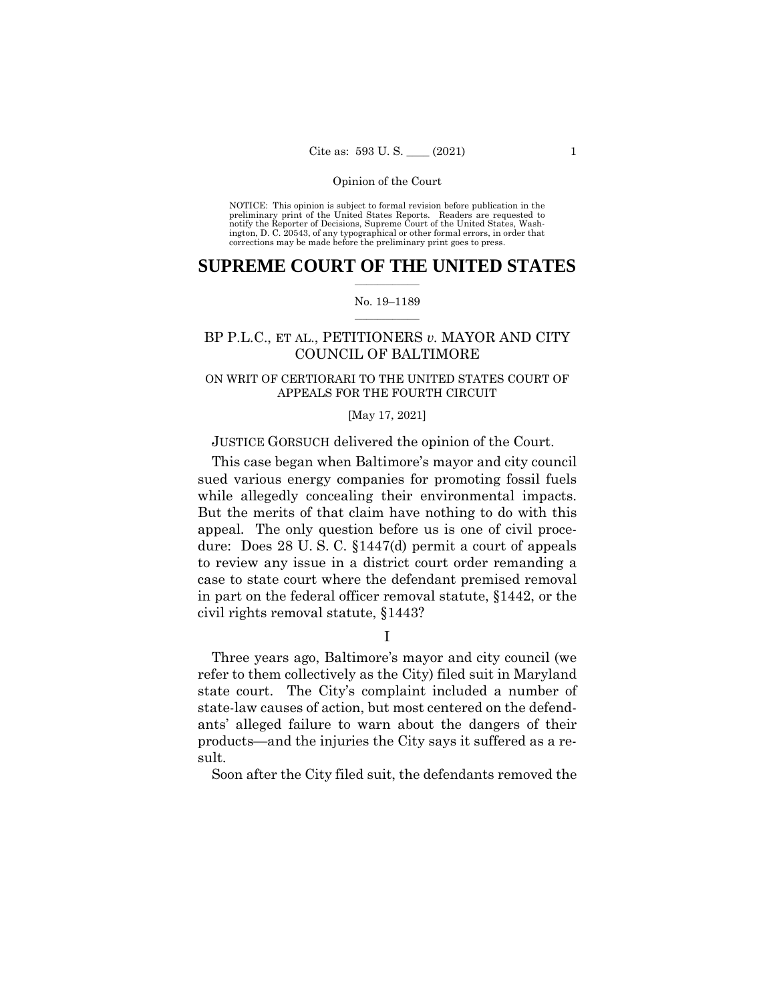NOTICE: This opinion is subject to formal revision before publication in the preliminary print of the United States Reports. Readers are requested to notify the Reporter of Decisions, Supreme Court of the United States, Wash-ington, D. C. 20543, of any typographical or other formal errors, in order that corrections may be made before the preliminary print goes to press.

## $\overline{\phantom{a}}$  , where  $\overline{\phantom{a}}$ **SUPREME COURT OF THE UNITED STATES**

### $\overline{\phantom{a}}$  , where  $\overline{\phantom{a}}$ No. 19–1189

## BP P.L.C., ET AL., PETITIONERS *v.* MAYOR AND CITY COUNCIL OF BALTIMORE

## ON WRIT OF CERTIORARI TO THE UNITED STATES COURT OF APPEALS FOR THE FOURTH CIRCUIT

### [May 17, 2021]

## JUSTICE GORSUCH delivered the opinion of the Court.

 sued various energy companies for promoting fossil fuels while allegedly concealing their environmental impacts. But the merits of that claim have nothing to do with this dure: Does 28 U. S. C. §1447(d) permit a court of appeals case to state court where the defendant premised removal in part on the federal officer removal statute, §1442, or the This case began when Baltimore's mayor and city council appeal. The only question before us is one of civil proceto review any issue in a district court order remanding a civil rights removal statute, §1443?

I

 refer to them collectively as the City) filed suit in Maryland state court. The City's complaint included a number of state-law causes of action, but most centered on the defend-Three years ago, Baltimore's mayor and city council (we ants' alleged failure to warn about the dangers of their products—and the injuries the City says it suffered as a result.

Soon after the City filed suit, the defendants removed the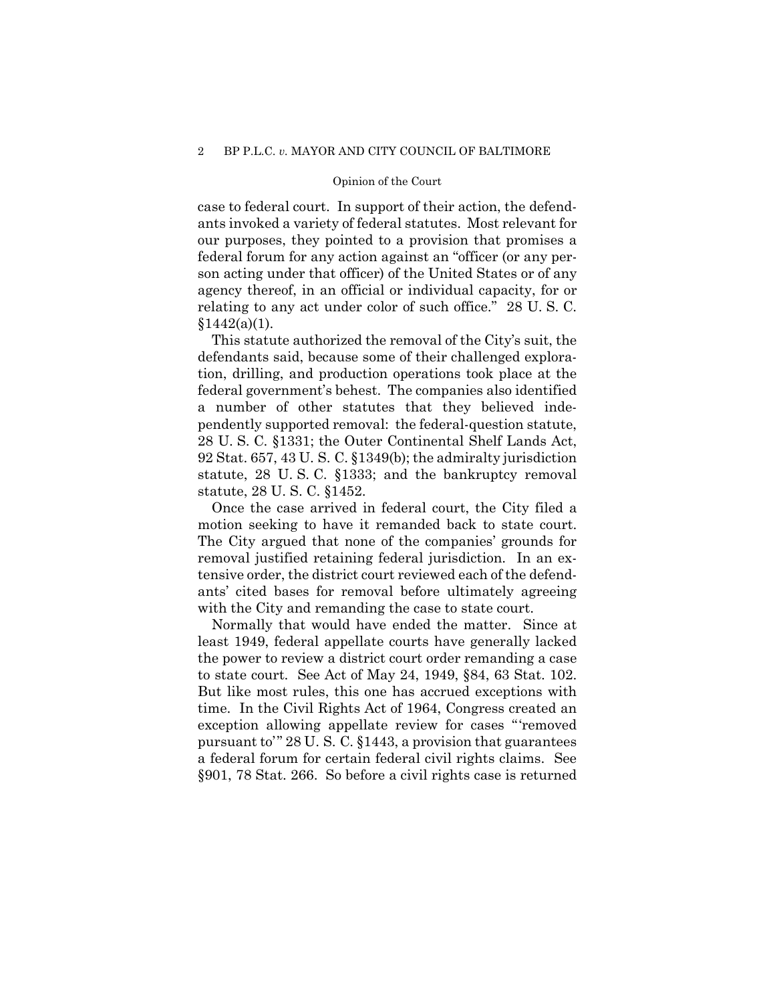ants invoked a variety of federal statutes. Most relevant for our purposes, they pointed to a provision that promises a agency thereof, in an official or individual capacity, for or relating to any act under color of such office." 28 U. S. C. case to federal court. In support of their action, the defendfederal forum for any action against an "officer (or any person acting under that officer) of the United States or of any  $§1442(a)(1).$ 

 defendants said, because some of their challenged explora- tion, drilling, and production operations took place at the pendently supported removal: the federal-question statute, 28 U. S. C. §1331; the Outer Continental Shelf Lands Act, 92 Stat. 657, 43 U. S. C. §1349(b); the admiralty jurisdiction statute, 28 U. S. C. §1333; and the bankruptcy removal statute, 28 U. S. C. §1452. This statute authorized the removal of the City's suit, the federal government's behest. The companies also identified a number of other statutes that they believed inde-

 motion seeking to have it remanded back to state court. removal justified retaining federal jurisdiction. In an ex- tensive order, the district court reviewed each of the defend- ants' cited bases for removal before ultimately agreeing Once the case arrived in federal court, the City filed a The City argued that none of the companies' grounds for with the City and remanding the case to state court.

 Normally that would have ended the matter. Since at least 1949, federal appellate courts have generally lacked the power to review a district court order remanding a case to state court. See Act of May 24, 1949, §84, 63 Stat. 102. But like most rules, this one has accrued exceptions with But like most rules, this one has accrued exceptions with time. In the Civil Rights Act of 1964, Congress created an exception allowing appellate review for cases "'removed pursuant to'" 28 U. S. C. §1443, a provision that guarantees §901, 78 Stat. 266. So before a civil rights case is returned a federal forum for certain federal civil rights claims. See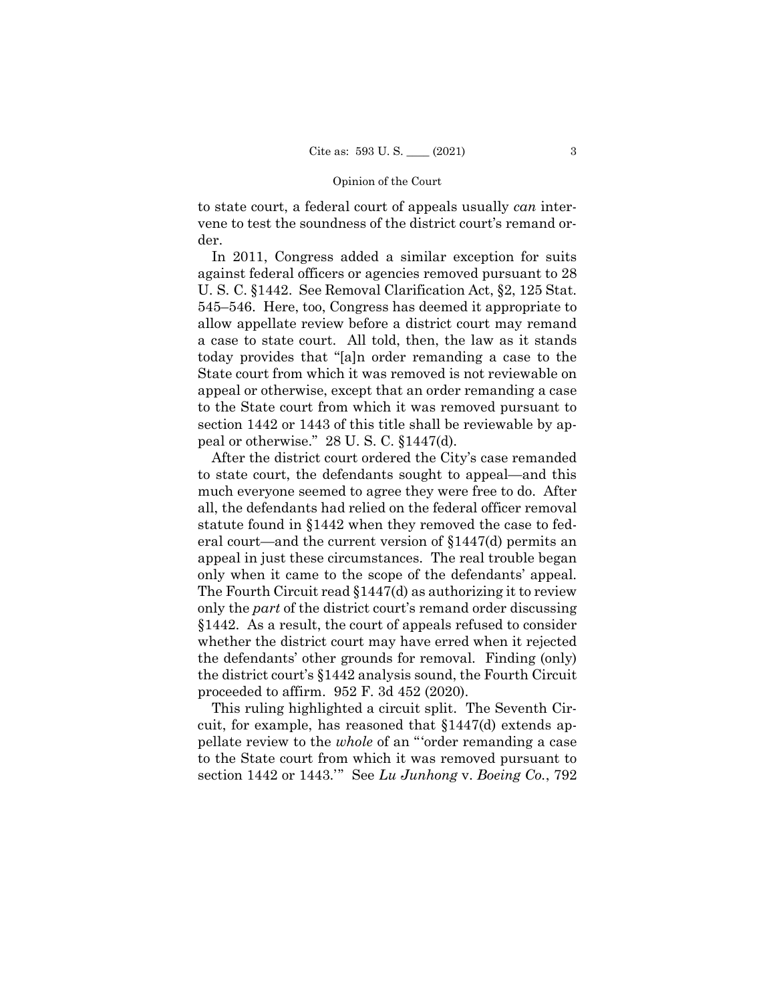to state court, a federal court of appeals usually *can* intervene to test the soundness of the district court's remand order.

 In 2011, Congress added a similar exception for suits U. S. C. §1442. See Removal Clarification Act, §2, 125 Stat. allow appellate review before a district court may remand a case to state court. All told, then, the law as it stands today provides that "[a]n order remanding a case to the appeal or otherwise, except that an order remanding a case to the State court from which it was removed pursuant to section 1442 or 1443 of this title shall be reviewable by ap- peal or otherwise." 28 U. S. C. §1447(d). against federal officers or agencies removed pursuant to 28 545–546. Here, too, Congress has deemed it appropriate to State court from which it was removed is not reviewable on

 After the district court ordered the City's case remanded to state court, the defendants sought to appeal—and this much everyone seemed to agree they were free to do. After eral court—and the current version of §1447(d) permits an only when it came to the scope of the defendants' appeal. The Fourth Circuit read §1447(d) as authorizing it to review §1442. As a result, the court of appeals refused to consider whether the district court may have erred when it rejected all, the defendants had relied on the federal officer removal statute found in §1442 when they removed the case to fedappeal in just these circumstances. The real trouble began only the *part* of the district court's remand order discussing the defendants' other grounds for removal. Finding (only) the district court's §1442 analysis sound, the Fourth Circuit proceeded to affirm. 952 F. 3d 452 (2020).

 This ruling highlighted a circuit split. The Seventh Cir- cuit, for example, has reasoned that §1447(d) extends ap- pellate review to the *whole* of an " 'order remanding a case section 1442 or 1443.' " See *Lu Junhong* v. *Boeing Co.*, 792 to the State court from which it was removed pursuant to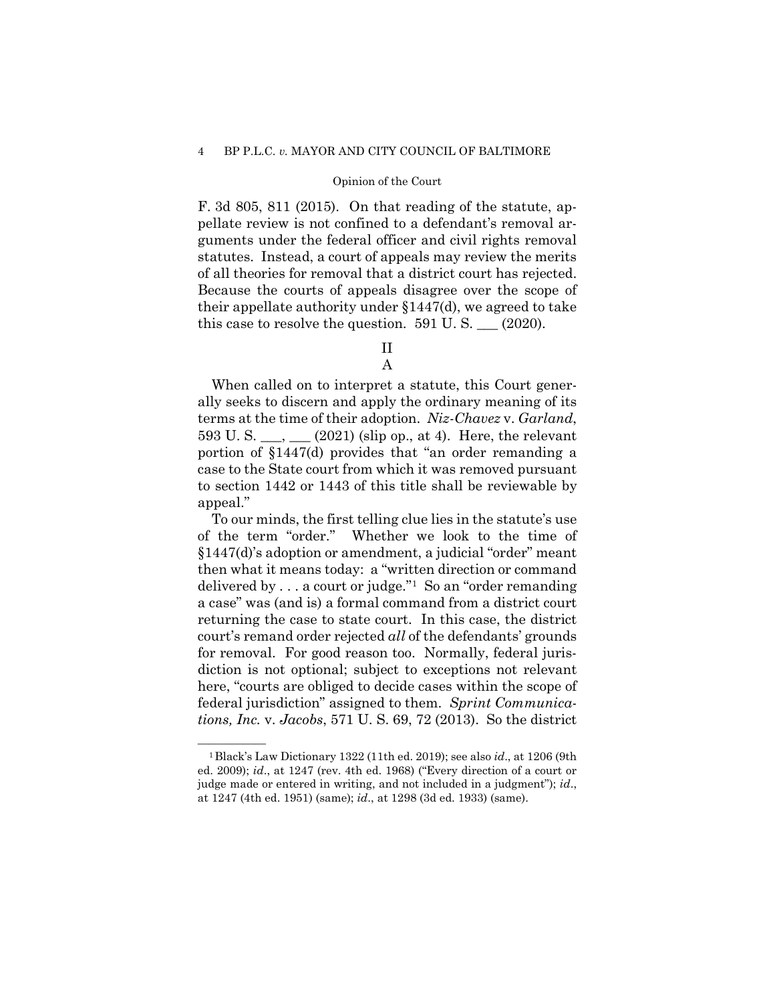### Opinion of the Court

 F. 3d 805, 811 (2015). On that reading of the statute, ap- statutes. Instead, a court of appeals may review the merits of all theories for removal that a district court has rejected. of all theories for removal that a district court has rejected. Because the courts of appeals disagree over the scope of this case to resolve the question.  $591$  U.S.  $\_\_$  (2020). pellate review is not confined to a defendant's removal arguments under the federal officer and civil rights removal their appellate authority under §1447(d), we agreed to take

> II A

 ally seeks to discern and apply the ordinary meaning of its terms at the time of their adoption. *Niz-Chavez* v. *Garland*, 593 U.S.  $\_\_\_\_\_\_\_\_\_\_\_$  (2021) (slip op., at 4). Here, the relevant portion of §1447(d) provides that "an order remanding a to section 1442 or 1443 of this title shall be reviewable by When called on to interpret a statute, this Court genercase to the State court from which it was removed pursuant appeal."

 of the term "order." Whether we look to the time of delivered by . . . a court or judge."[1](#page-6-0) So an "order remanding court's remand order rejected *all* of the defendants' grounds here, "courts are obliged to decide cases within the scope of federal jurisdiction" assigned to them. *Sprint Communica- tions, Inc.* v. *Jacobs*, 571 U. S. 69, 72 (2013). So the district To our minds, the first telling clue lies in the statute's use §1447(d)'s adoption or amendment, a judicial "order" meant then what it means today: a "written direction or command a case" was (and is) a formal command from a district court returning the case to state court. In this case, the district for removal. For good reason too. Normally, federal jurisdiction is not optional; subject to exceptions not relevant

<span id="page-6-0"></span> —————— 1Black's Law Dictionary 1322 (11th ed. 2019); see also *id*., at 1206 (9th ed. 2009); *id*., at 1247 (rev. 4th ed. 1968) ("Every direction of a court or judge made or entered in writing, and not included in a judgment"); *id*., at 1247 (4th ed. 1951) (same); *id*., at 1298 (3d ed. 1933) (same).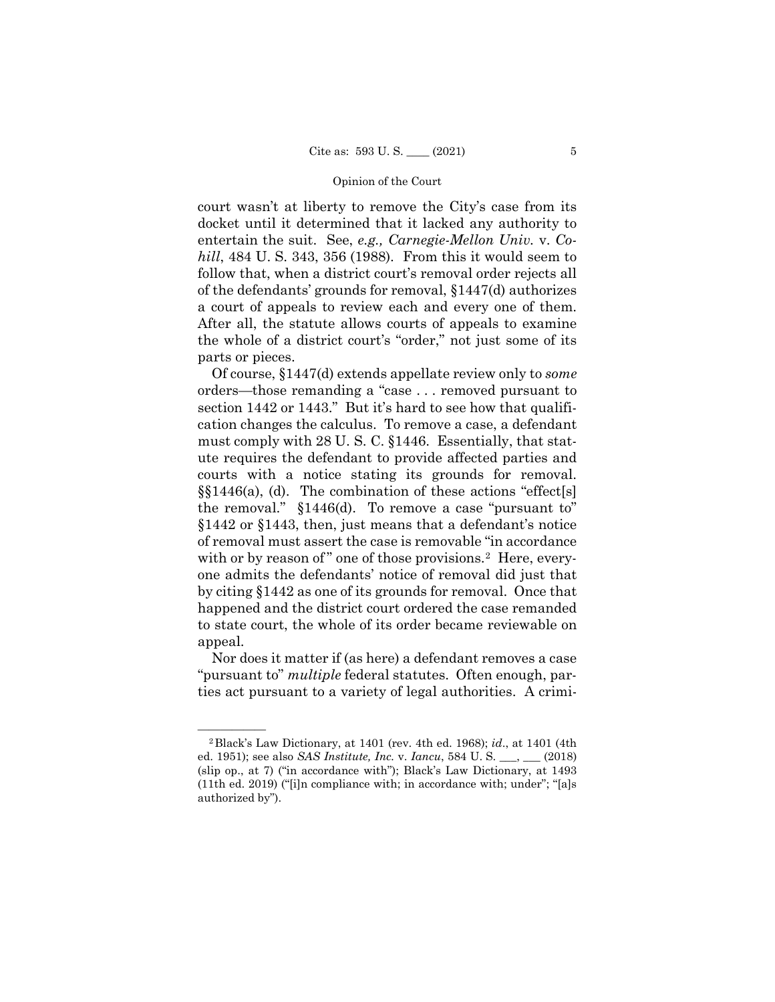docket until it determined that it lacked any authority to *hill*, 484 U. S. 343, 356 (1988). From this it would seem to of the defendants' grounds for removal, §1447(d) authorizes a court of appeals to review each and every one of them. the whole of a district court's "order," not just some of its court wasn't at liberty to remove the City's case from its entertain the suit. See, *e.g., Carnegie-Mellon Univ.* v. *Co*follow that, when a district court's removal order rejects all After all, the statute allows courts of appeals to examine parts or pieces.

 orders—those remanding a "case . . . removed pursuant to section 1442 or 1443." But it's hard to see how that qualifi- cation changes the calculus. To remove a case, a defendant must comply with 28 U. S. C. §1446. Essentially, that statcourts with a notice stating its grounds for removal. courts with a notice stating its grounds for removal. §§1446(a), (d). The combination of these actions "effect[s] §1442 or §1443, then, just means that a defendant's notice with or by reason of" one of those provisions.<sup>2</sup> Here, every-Of course, §1447(d) extends appellate review only to *some*  ute requires the defendant to provide affected parties and the removal." §1446(d). To remove a case "pursuant to" of removal must assert the case is removable "in accordance one admits the defendants' notice of removal did just that by citing §1442 as one of its grounds for removal. Once that happened and the district court ordered the case remanded to state court, the whole of its order became reviewable on appeal.

 ties act pursuant to a variety of legal authorities. A crimi- Nor does it matter if (as here) a defendant removes a case "pursuant to" *multiple* federal statutes. Often enough, par-

<span id="page-7-0"></span> —————— 2Black's Law Dictionary, at 1401 (rev. 4th ed. 1968); *id*., at 1401 (4th ed. 1951); see also *SAS Institute, Inc.* v. *Iancu*, 584 U. S. \_\_\_, \_\_\_ (2018) (slip op., at 7) ("in accordance with"); Black's Law Dictionary, at 1493 (11th ed. 2019) ("[i]n compliance with; in accordance with; under"; "[a]s authorized by").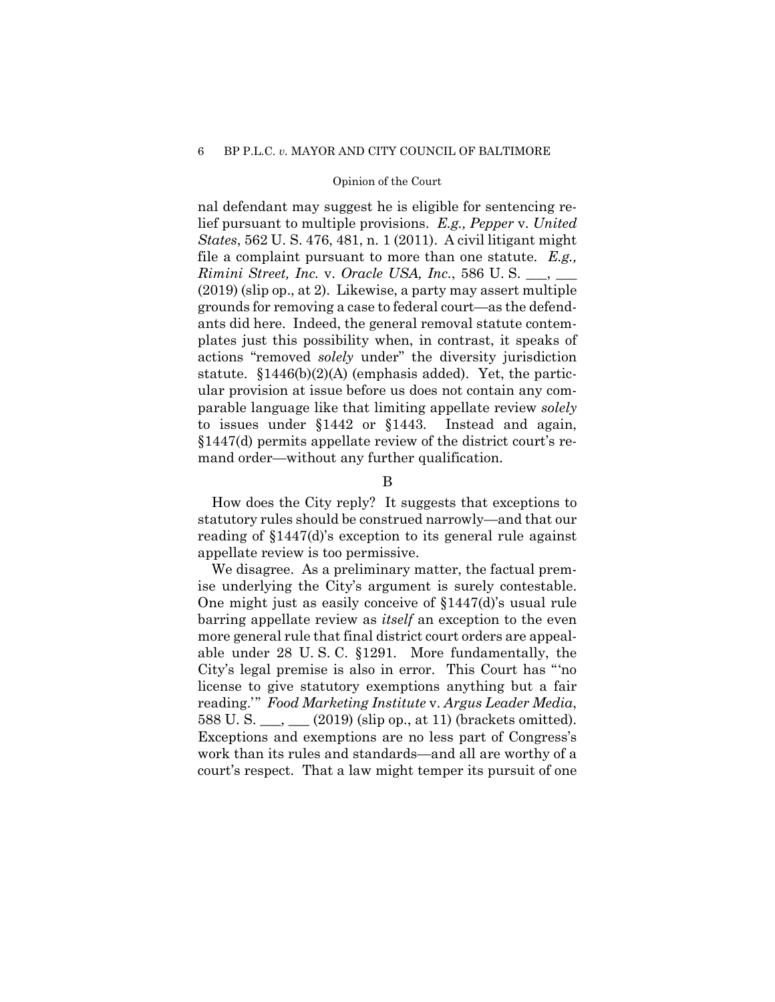### Opinion of the Court

 lief pursuant to multiple provisions. *E.g., Pepper* v. *United*  file a complaint pursuant to more than one statute. *E.g., Rimini Street, Inc.* v. *Oracle USA, Inc.*, 586 U. S. \_\_\_, \_\_\_ grounds for removing a case to federal court—as the defend- statute. §1446(b)(2)(A) (emphasis added). Yet, the partic- ular provision at issue before us does not contain any com- §1447(d) permits appellate review of the district court's renal defendant may suggest he is eligible for sentencing re-*States*, 562 U. S. 476, 481, n. 1 (2011). A civil litigant might (2019) (slip op., at 2). Likewise, a party may assert multiple ants did here. Indeed, the general removal statute contemplates just this possibility when, in contrast, it speaks of actions "removed *solely* under" the diversity jurisdiction parable language like that limiting appellate review *solely*  to issues under §1442 or §1443. Instead and again, mand order—without any further qualification.

B

 statutory rules should be construed narrowly—and that our reading of §1447(d)'s exception to its general rule against How does the City reply? It suggests that exceptions to appellate review is too permissive.

ise underlying the City's argument is surely contestable. ise underlying the City's argument is surely contestable. One might just as easily conceive of §1447(d)'s usual rule more general rule that final district court orders are appeal- able under 28 U. S. C. §1291. More fundamentally, the City's legal premise is also in error. This Court has "'no 588 U. S.  $\_\_\_\_\_\_\_\_\_\_\_$  (2019) (slip op., at 11) (brackets omitted). Exceptions and exemptions are no less part of Congress's work than its rules and standards—and all are worthy of a court's respect. That a law might temper its pursuit of one We disagree. As a preliminary matter, the factual prembarring appellate review as *itself* an exception to the even license to give statutory exemptions anything but a fair reading.' " *Food Marketing Institute* v. *Argus Leader Media*,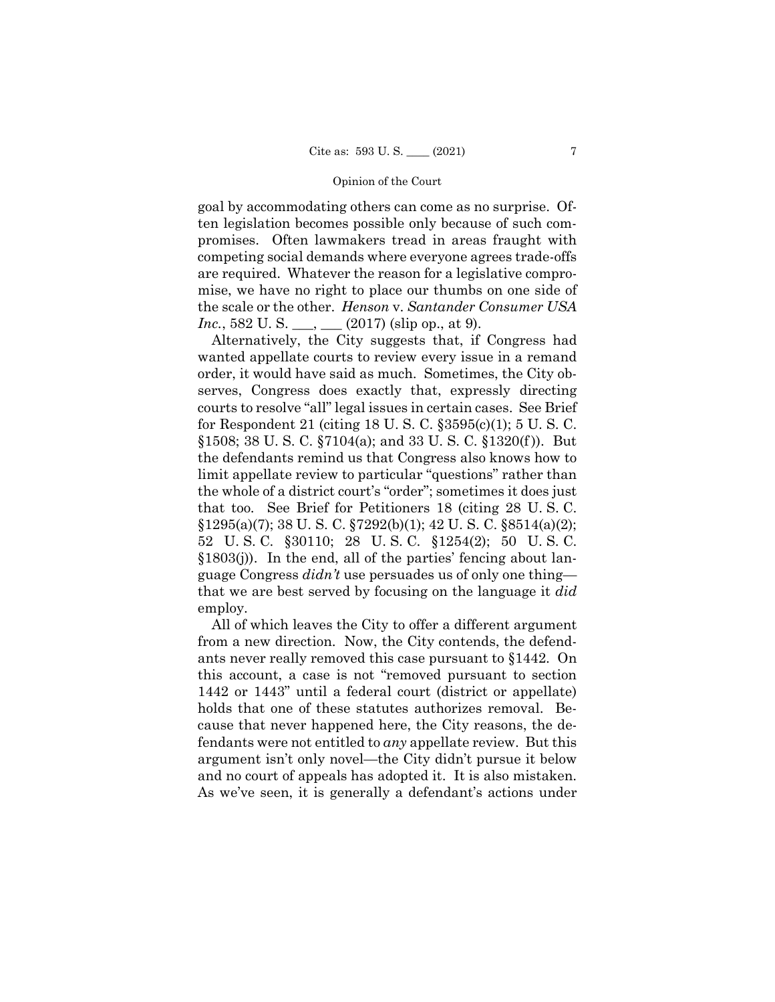goal by accommodating others can come as no surprise. Of- ten legislation becomes possible only because of such com- promises. Often lawmakers tread in areas fraught with the scale or the other. *Henson* v. *Santander Consumer USA Inc.*, 582 U.S. \_\_\_, \_\_\_ (2017) (slip op., at 9). competing social demands where everyone agrees trade-offs are required. Whatever the reason for a legislative compromise, we have no right to place our thumbs on one side of

 serves, Congress does exactly that, expressly directing courts to resolve "all" legal issues in certain cases. See Brief for Respondent 21 (citing 18 U. S. C. §3595(c)(1); 5 U. S. C. §1508; 38 U. S. C. §7104(a); and 33 U. S. C. §1320(f )). But the defendants remind us that Congress also knows how to the whole of a district court's "order"; sometimes it does just that too. See Brief for Petitioners 18 (citing 28 U. S. C.  $$1295(a)(7); 38 U. S. C. $7292(b)(1); 42 U. S. C. $8514(a)(2);$  52 U. S. C. §30110; 28 U. S. C. §1254(2); 50 U. S. C. Alternatively, the City suggests that, if Congress had wanted appellate courts to review every issue in a remand order, it would have said as much. Sometimes, the City oblimit appellate review to particular "questions" rather than §1803(j)). In the end, all of the parties' fencing about language Congress *didn't* use persuades us of only one thing that we are best served by focusing on the language it *did*  employ.

 All of which leaves the City to offer a different argument from a new direction. Now, the City contends, the defend- ants never really removed this case pursuant to §1442. On this account, a case is not "removed pursuant to section fendants were not entitled to *any* appellate review. But this and no court of appeals has adopted it. It is also mistaken. and no court of appeals has adopted it. It is also mistaken. As we've seen, it is generally a defendant's actions under 1442 or 1443" until a federal court (district or appellate) holds that one of these statutes authorizes removal. Because that never happened here, the City reasons, the deargument isn't only novel—the City didn't pursue it below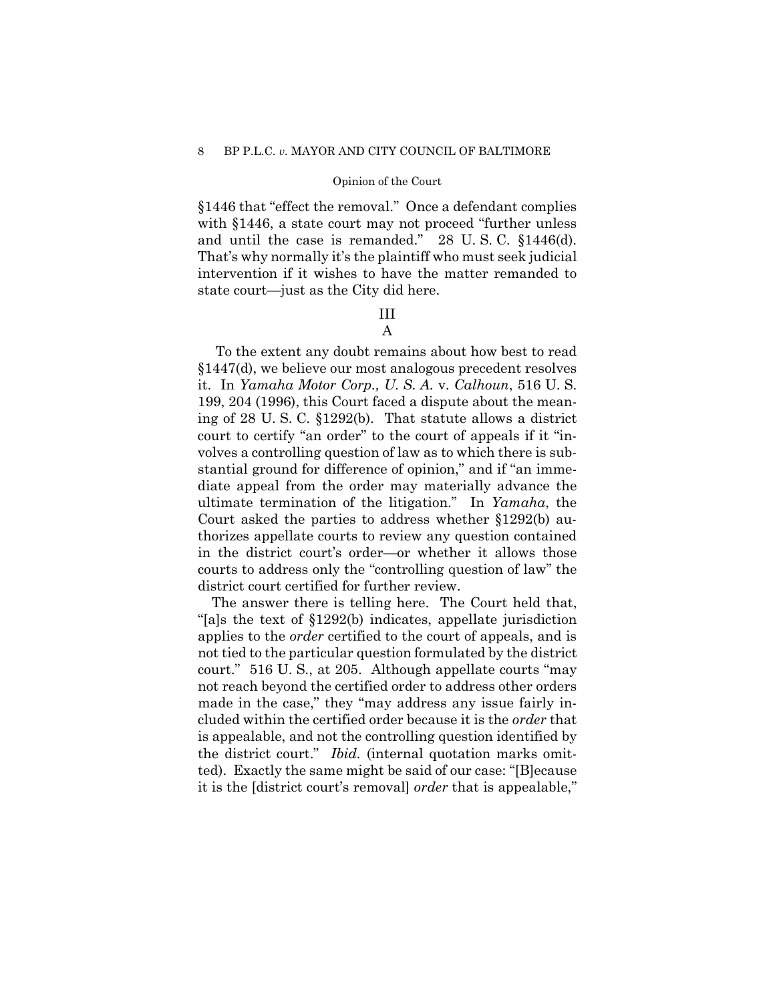## Opinion of the Court

 §1446 that "effect the removal." Once a defendant complies with §1446, a state court may not proceed "further unless and until the case is remanded." 28 U. S. C. §1446(d). That's why normally it's the plaintiff who must seek judicial intervention if it wishes to have the matter remanded to state court—just as the City did here.

## III A

 it. In *Yamaha Motor Corp., U. S. A.* v. *Calhoun*, 516 U. S. ing of 28 U. S. C. §1292(b). That statute allows a district court to certify "an order" to the court of appeals if it "in- volves a controlling question of law as to which there is sub- stantial ground for difference of opinion," and if "an imme- diate appeal from the order may materially advance the ultimate termination of the litigation." In *Yamaha*, the thorizes appellate courts to review any question contained courts to address only the "controlling question of law" the To the extent any doubt remains about how best to read §1447(d), we believe our most analogous precedent resolves 199, 204 (1996), this Court faced a dispute about the mean-Court asked the parties to address whether §1292(b) auin the district court's order—or whether it allows those district court certified for further review.

 The answer there is telling here. The Court held that, "[a]s the text of §1292(b) indicates, appellate jurisdiction applies to the *order* certified to the court of appeals, and is not tied to the particular question formulated by the district court." 516 U. S., at 205. Although appellate courts "may made in the case," they "may address any issue fairly in- cluded within the certified order because it is the *order* that ted). Exactly the same might be said of our case: "[B]ecause it is the [district court's removal] *order* that is appealable," not reach beyond the certified order to address other orders is appealable, and not the controlling question identified by the district court." *Ibid.* (internal quotation marks omit-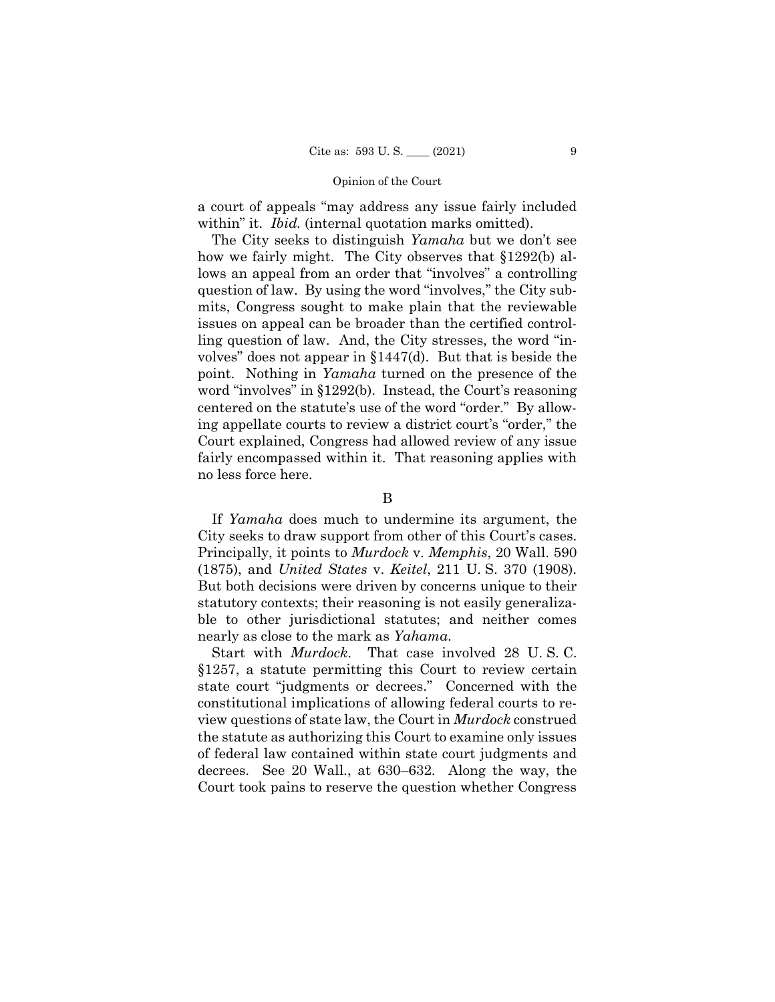a court of appeals "may address any issue fairly included within" it. *Ibid.* (internal quotation marks omitted).

 The City seeks to distinguish *Yamaha* but we don't see how we fairly might. The City observes that §1292(b) al- lows an appeal from an order that "involves" a controlling volves" does not appear in §1447(d). But that is beside the point. Nothing in *Yamaha* turned on the presence of the ing appellate courts to review a district court's "order," the Court explained, Congress had allowed review of any issue fairly encompassed within it. That reasoning applies with question of law. By using the word "involves," the City submits, Congress sought to make plain that the reviewable issues on appeal can be broader than the certified controlling question of law. And, the City stresses, the word "inword "involves" in §1292(b). Instead, the Court's reasoning centered on the statute's use of the word "order." By allowno less force here.

#### B

 City seeks to draw support from other of this Court's cases. Principally, it points to *Murdock* v. *Memphis*, 20 Wall. 590 (1875), and *United States* v. *Keitel*, 211 U. S. 370 (1908). But both decisions were driven by concerns unique to their But both decisions were driven by concerns unique to their ble to other jurisdictional statutes; and neither comes If *Yamaha* does much to undermine its argument, the statutory contexts; their reasoning is not easily generalizanearly as close to the mark as *Yahama*.

 Start with *Murdock*. That case involved 28 U. S. C. §1257, a statute permitting this Court to review certain state court "judgments or decrees." Concerned with the constitutional implications of allowing federal courts to re- view questions of state law, the Court in *Murdock* construed decrees. See 20 Wall., at 630–632. Along the way, the Court took pains to reserve the question whether Congress the statute as authorizing this Court to examine only issues of federal law contained within state court judgments and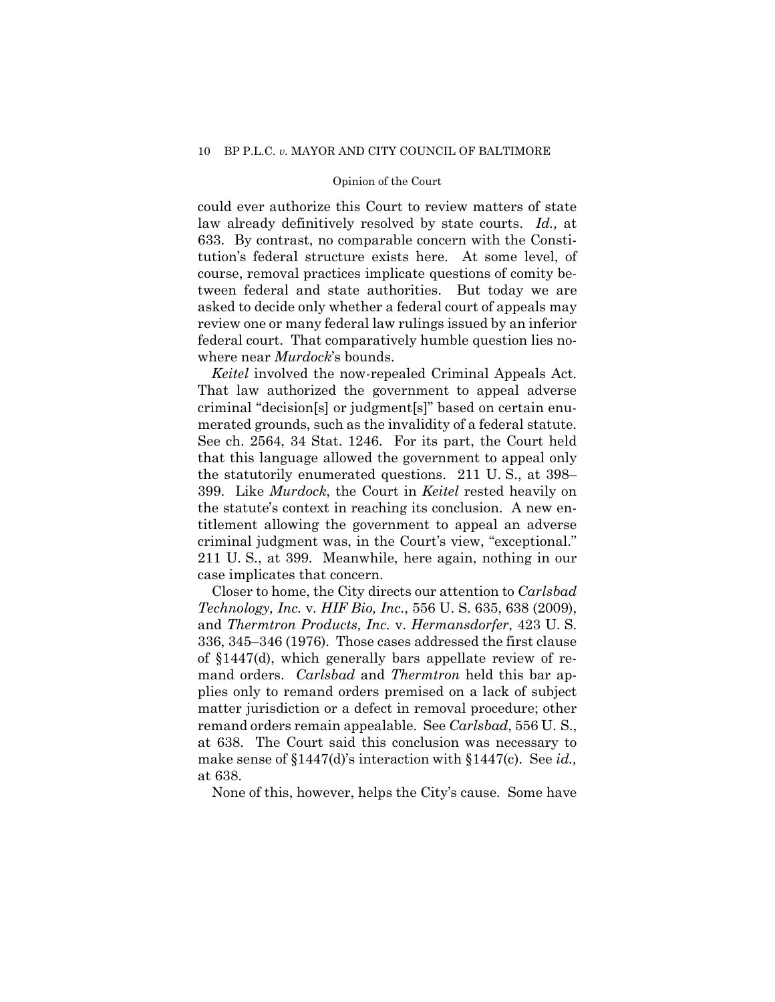### Opinion of the Court

 law already definitively resolved by state courts. *Id.,* at 633. By contrast, no comparable concern with the Consti- course, removal practices implicate questions of comity be- asked to decide only whether a federal court of appeals may federal court. That comparatively humble question lies nocould ever authorize this Court to review matters of state tution's federal structure exists here. At some level, of tween federal and state authorities. But today we are review one or many federal law rulings issued by an inferior where near *Murdock*'s bounds.

 That law authorized the government to appeal adverse criminal "decision[s] or judgment[s]" based on certain enu- merated grounds, such as the invalidity of a federal statute. the statutorily enumerated questions. 211 U. S., at 398– 399. Like *Murdock*, the Court in *Keitel* rested heavily on titlement allowing the government to appeal an adverse criminal judgment was, in the Court's view, "exceptional." 211 U. S., at 399. Meanwhile, here again, nothing in our *Keitel* involved the now-repealed Criminal Appeals Act. See ch. 2564, 34 Stat. 1246. For its part, the Court held that this language allowed the government to appeal only the statute's context in reaching its conclusion. A new encase implicates that concern.

 336, 345–346 (1976). Those cases addressed the first clause of §1447(d), which generally bars appellate review of re- mand orders. *Carlsbad* and *Thermtron* held this bar ap- plies only to remand orders premised on a lack of subject remand orders remain appealable. See *Carlsbad*, 556 U. S., at 638. The Court said this conclusion was necessary to make sense of §1447(d)'s interaction with §1447(c). See *id.,*  at 638. Closer to home, the City directs our attention to *Carlsbad Technology, Inc.* v. *HIF Bio, Inc.*, 556 U. S. 635, 638 (2009), and *Thermtron Products, Inc.* v. *Hermansdorfer*, 423 U. S. matter jurisdiction or a defect in removal procedure; other

None of this, however, helps the City's cause. Some have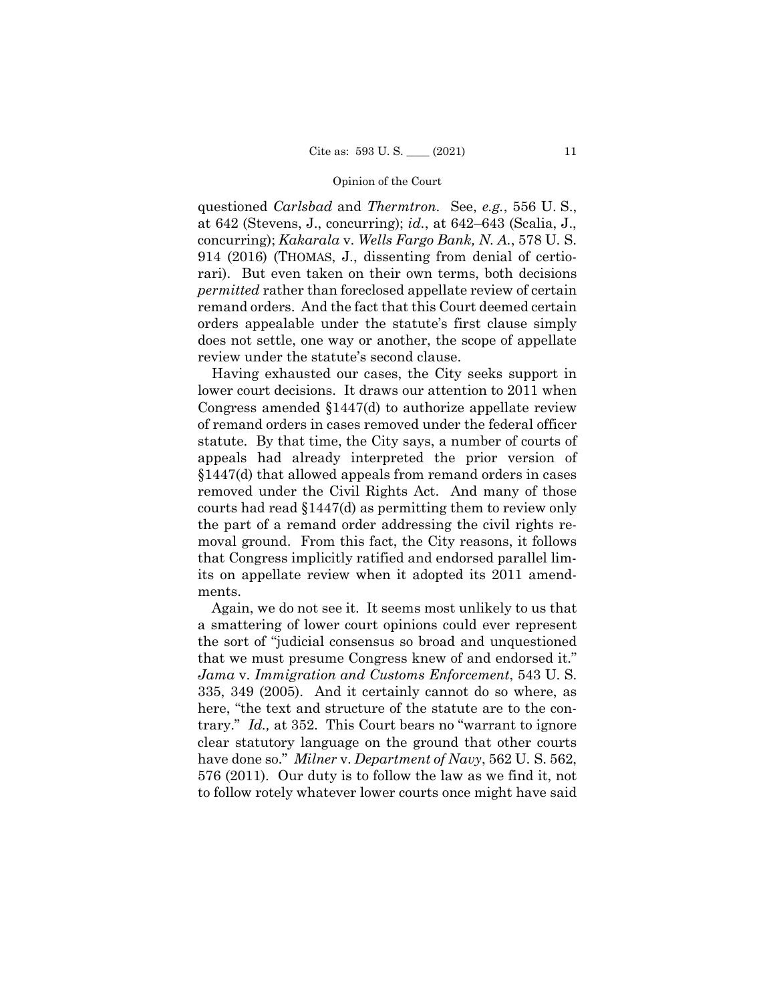questioned *Carlsbad* and *Thermtron*. See, *e.g.*, 556 U. S., rari). But even taken on their own terms, both decisions *permitted* rather than foreclosed appellate review of certain remand orders. And the fact that this Court deemed certain orders appealable under the statute's first clause simply at 642 (Stevens, J., concurring); *id.*, at 642–643 (Scalia, J., concurring); *Kakarala* v. *Wells Fargo Bank, N. A.*, 578 U. S. 914 (2016) (THOMAS, J., dissenting from denial of certiodoes not settle, one way or another, the scope of appellate review under the statute's second clause.

 Having exhausted our cases, the City seeks support in lower court decisions. It draws our attention to 2011 when Congress amended §1447(d) to authorize appellate review statute. By that time, the City says, a number of courts of §1447(d) that allowed appeals from remand orders in cases courts had read §1447(d) as permitting them to review only the part of a remand order addressing the civil rights re- moval ground. From this fact, the City reasons, it follows of remand orders in cases removed under the federal officer appeals had already interpreted the prior version of removed under the Civil Rights Act. And many of those that Congress implicitly ratified and endorsed parallel limits on appellate review when it adopted its 2011 amendments.

 Again, we do not see it. It seems most unlikely to us that a smattering of lower court opinions could ever represent the sort of "judicial consensus so broad and unquestioned that we must presume Congress knew of and endorsed it." 335, 349 (2005). And it certainly cannot do so where, as trary." *Id.,* at 352. This Court bears no "warrant to ignore have done so." *Milner* v. *Department of Navy*, 562 U. S. 562, 576 (2011). Our duty is to follow the law as we find it, not *Jama* v. *Immigration and Customs Enforcement*, 543 U. S. here, "the text and structure of the statute are to the conclear statutory language on the ground that other courts to follow rotely whatever lower courts once might have said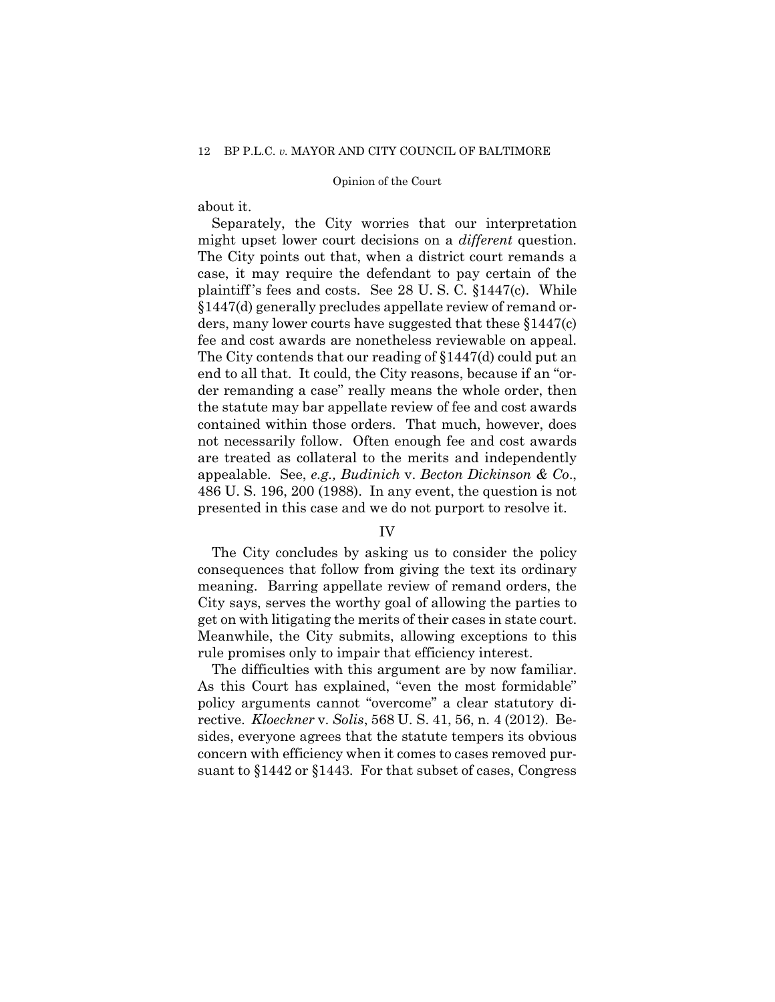about it.

 might upset lower court decisions on a *different* question. The City points out that, when a district court remands a case, it may require the defendant to pay certain of the plaintiff 's fees and costs. See 28 U. S. C. §1447(c). While §1447(d) generally precludes appellate review of remand or- ders, many lower courts have suggested that these §1447(c) The City contends that our reading of  $$1447$ (d) could put an end to all that. It could, the City reasons, because if an "or- contained within those orders. That much, however, does not necessarily follow. Often enough fee and cost awards are treated as collateral to the merits and independently appealable. See, *e.g., Budinich* v. *Becton Dickinson & Co*., Separately, the City worries that our interpretation fee and cost awards are nonetheless reviewable on appeal. der remanding a case" really means the whole order, then the statute may bar appellate review of fee and cost awards 486 U. S. 196, 200 (1988). In any event, the question is not presented in this case and we do not purport to resolve it.

## IV

 City says, serves the worthy goal of allowing the parties to get on with litigating the merits of their cases in state court. The City concludes by asking us to consider the policy consequences that follow from giving the text its ordinary meaning. Barring appellate review of remand orders, the Meanwhile, the City submits, allowing exceptions to this rule promises only to impair that efficiency interest.

 The difficulties with this argument are by now familiar. As this Court has explained, "even the most formidable" rective. *Kloeckner* v. *Solis*, 568 U. S. 41, 56, n. 4 (2012). Be- sides, everyone agrees that the statute tempers its obvious suant to §1442 or §1443. For that subset of cases, Congress policy arguments cannot "overcome" a clear statutory diconcern with efficiency when it comes to cases removed pur-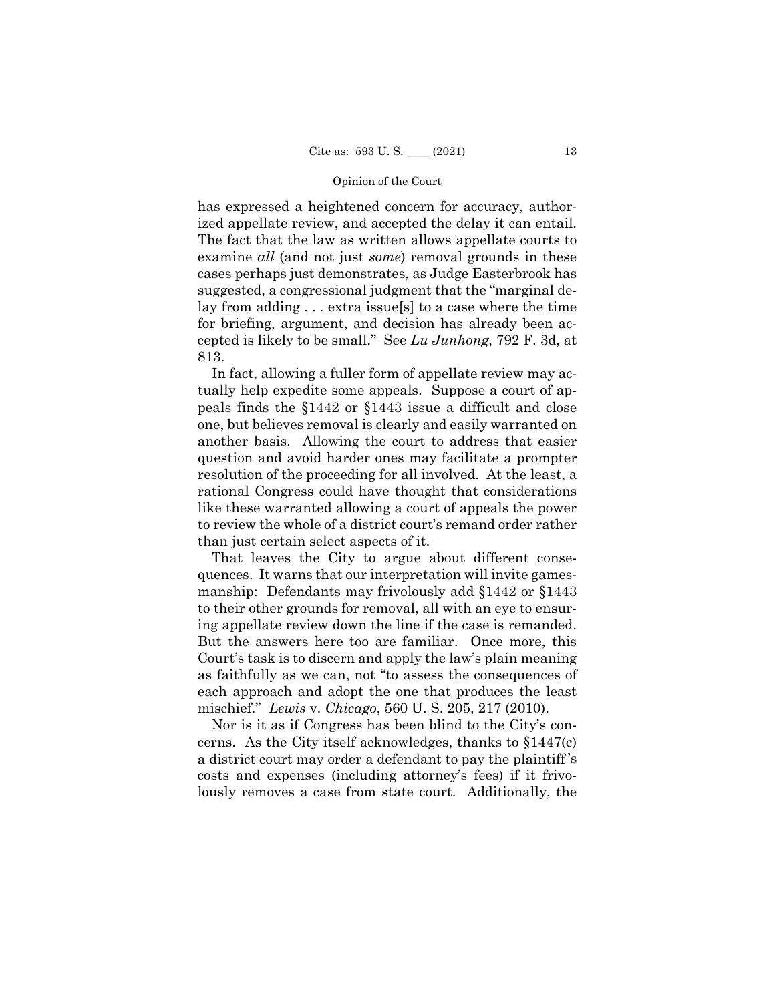ized appellate review, and accepted the delay it can entail. examine *all* (and not just *some*) removal grounds in these lay from adding . . . extra issue[s] to a case where the time has expressed a heightened concern for accuracy, author-The fact that the law as written allows appellate courts to cases perhaps just demonstrates, as Judge Easterbrook has suggested, a congressional judgment that the "marginal defor briefing, argument, and decision has already been accepted is likely to be small." See *Lu Junhong*, 792 F. 3d, at 813.

 one, but believes removal is clearly and easily warranted on resolution of the proceeding for all involved. At the least, a like these warranted allowing a court of appeals the power to review the whole of a district court's remand order rather than just certain select aspects of it. In fact, allowing a fuller form of appellate review may actually help expedite some appeals. Suppose a court of appeals finds the §1442 or §1443 issue a difficult and close another basis. Allowing the court to address that easier question and avoid harder ones may facilitate a prompter rational Congress could have thought that considerations

 quences. It warns that our interpretation will invite games- manship: Defendants may frivolously add §1442 or §1443 to their other grounds for removal, all with an eye to ensur- ing appellate review down the line if the case is remanded. But the answers here too are familiar. Once more, this Court's task is to discern and apply the law's plain meaning as faithfully as we can, not "to assess the consequences of each approach and adopt the one that produces the least mischief." *Lewis* v. *Chicago*, 560 U. S. 205, 217 (2010). That leaves the City to argue about different conse-

 costs and expenses (including attorney's fees) if it frivo- lously removes a case from state court. Additionally, the Nor is it as if Congress has been blind to the City's concerns. As the City itself acknowledges, thanks to §1447(c) a district court may order a defendant to pay the plaintiff 's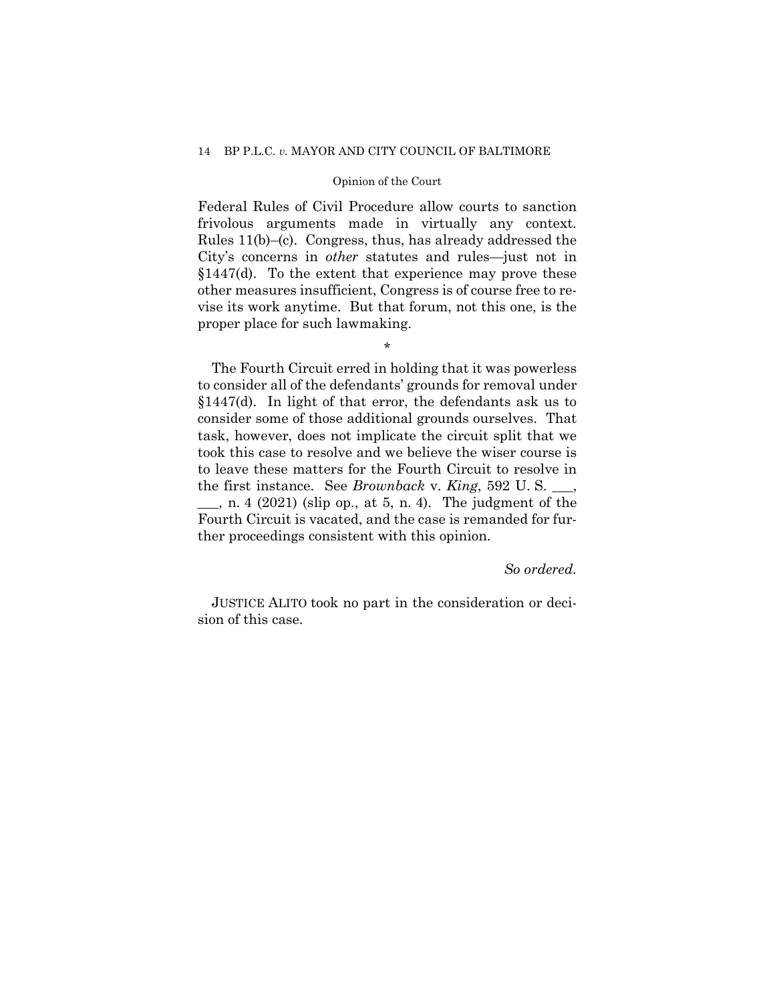## Opinion of the Court

 Federal Rules of Civil Procedure allow courts to sanction frivolous arguments made in virtually any context. Rules 11(b)–(c). Congress, thus, has already addressed the City's concerns in *other* statutes and rules—just not in §1447(d). To the extent that experience may prove these vise its work anytime. But that forum, not this one, is the proper place for such lawmaking. other measures insufficient, Congress is of course free to re-

\*

 §1447(d). In light of that error, the defendants ask us to consider some of those additional grounds ourselves. That took this case to resolve and we believe the wiser course is the first instance. See *Brownback* v. *King*, 592 U. S. \_\_\_,  $\_\_\_\$ , n. 4 (2021) (slip op., at 5, n. 4). The judgment of the The Fourth Circuit erred in holding that it was powerless to consider all of the defendants' grounds for removal under task, however, does not implicate the circuit split that we to leave these matters for the Fourth Circuit to resolve in Fourth Circuit is vacated, and the case is remanded for further proceedings consistent with this opinion.

## *So ordered.*

JUSTICE ALITO took no part in the consideration or decision of this case.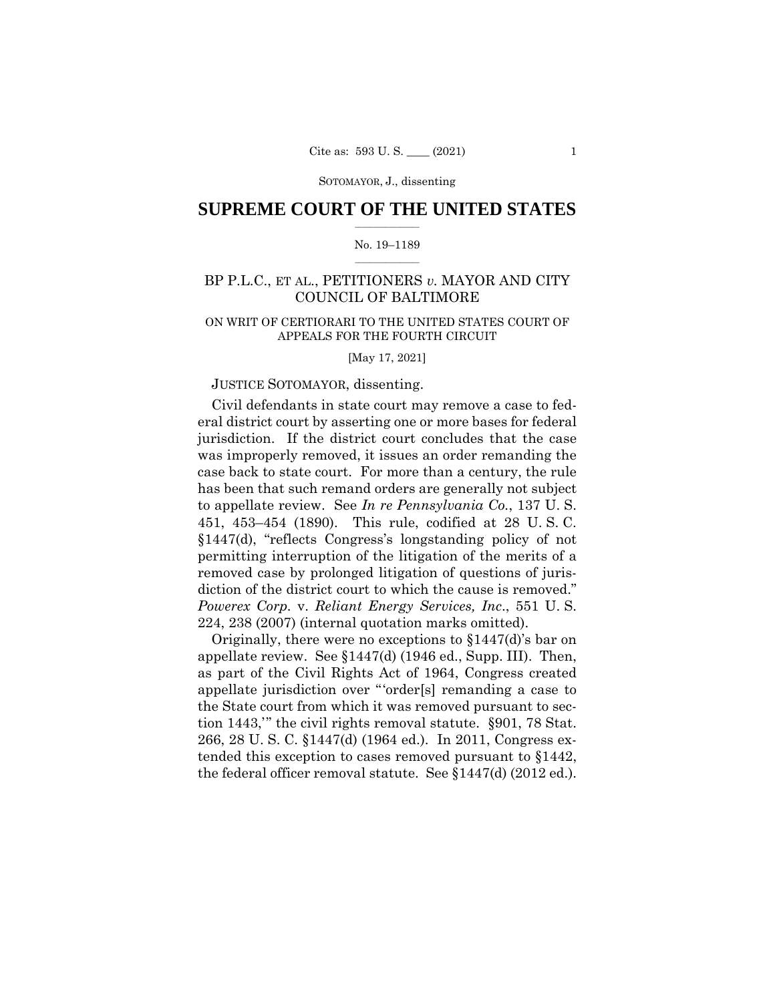## $\frac{1}{2}$  ,  $\frac{1}{2}$  ,  $\frac{1}{2}$  ,  $\frac{1}{2}$  ,  $\frac{1}{2}$  ,  $\frac{1}{2}$  ,  $\frac{1}{2}$ **SUPREME COURT OF THE UNITED STATES**

### $\frac{1}{2}$  ,  $\frac{1}{2}$  ,  $\frac{1}{2}$  ,  $\frac{1}{2}$  ,  $\frac{1}{2}$  ,  $\frac{1}{2}$ No. 19–1189

## BP P.L.C., ET AL., PETITIONERS *v.* MAYOR AND CITY COUNCIL OF BALTIMORE

## ON WRIT OF CERTIORARI TO THE UNITED STATES COURT OF APPEALS FOR THE FOURTH CIRCUIT

[May 17, 2021]

## JUSTICE SOTOMAYOR, dissenting.

Civil defendants in state court may remove a case to federal district court by asserting one or more bases for federal jurisdiction. If the district court concludes that the case was improperly removed, it issues an order remanding the case back to state court. For more than a century, the rule has been that such remand orders are generally not subject to appellate review. See *In re Pennsylvania Co.*, 137 U. S. 451, 453–454 (1890). This rule, codified at 28 U. S. C. §1447(d), "reflects Congress's longstanding policy of not permitting interruption of the litigation of the merits of a removed case by prolonged litigation of questions of jurisdiction of the district court to which the cause is removed." *Powerex Corp.* v. *Reliant Energy Services, Inc*., 551 U. S. 224, 238 (2007) (internal quotation marks omitted).

Originally, there were no exceptions to §1447(d)'s bar on appellate review. See §1447(d) (1946 ed., Supp. III). Then, as part of the Civil Rights Act of 1964, Congress created appellate jurisdiction over "'order[s] remanding a case to the State court from which it was removed pursuant to section 1443,'" the civil rights removal statute. §901, 78 Stat. 266, 28 U. S. C. §1447(d) (1964 ed.). In 2011, Congress extended this exception to cases removed pursuant to §1442, the federal officer removal statute. See §1447(d) (2012 ed.).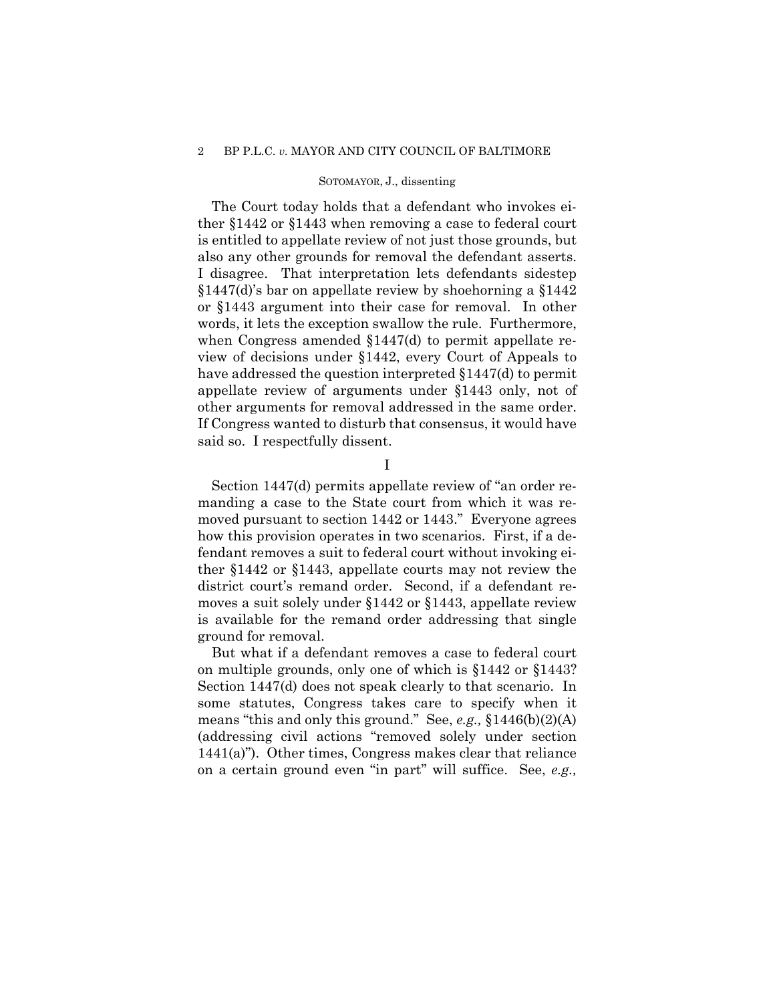### SOTOMAYOR, J., dissenting

The Court today holds that a defendant who invokes either §1442 or §1443 when removing a case to federal court is entitled to appellate review of not just those grounds, but also any other grounds for removal the defendant asserts. I disagree. That interpretation lets defendants sidestep §1447(d)'s bar on appellate review by shoehorning a §1442 or §1443 argument into their case for removal. In other words, it lets the exception swallow the rule. Furthermore, when Congress amended §1447(d) to permit appellate review of decisions under §1442, every Court of Appeals to have addressed the question interpreted §1447(d) to permit appellate review of arguments under §1443 only, not of other arguments for removal addressed in the same order. If Congress wanted to disturb that consensus, it would have said so. I respectfully dissent.

I

Section 1447(d) permits appellate review of "an order remanding a case to the State court from which it was removed pursuant to section 1442 or 1443." Everyone agrees how this provision operates in two scenarios. First, if a defendant removes a suit to federal court without invoking either §1442 or §1443, appellate courts may not review the district court's remand order. Second, if a defendant removes a suit solely under §1442 or §1443, appellate review is available for the remand order addressing that single ground for removal.

But what if a defendant removes a case to federal court on multiple grounds, only one of which is §1442 or §1443? Section 1447(d) does not speak clearly to that scenario. In some statutes, Congress takes care to specify when it means "this and only this ground." See, *e.g.,* §1446(b)(2)(A) (addressing civil actions "removed solely under section 1441(a)"). Other times, Congress makes clear that reliance on a certain ground even "in part" will suffice. See, *e.g.,*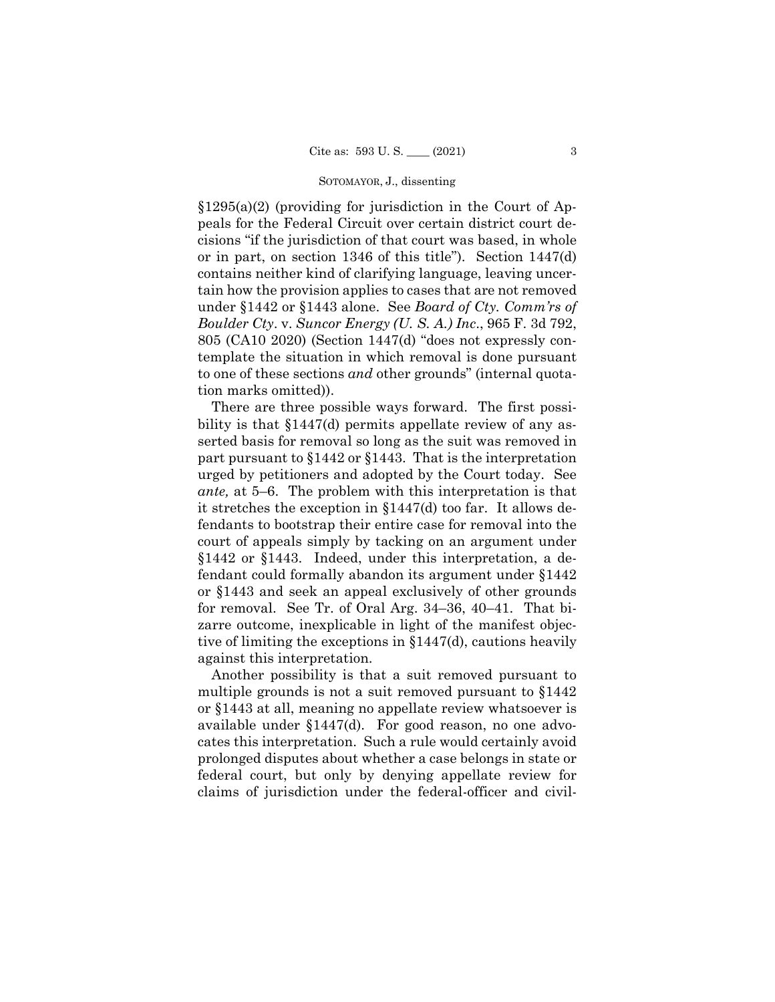$\S 1295(a)(2)$  (providing for jurisdiction in the Court of Appeals for the Federal Circuit over certain district court decisions "if the jurisdiction of that court was based, in whole or in part, on section 1346 of this title"). Section 1447(d) contains neither kind of clarifying language, leaving uncertain how the provision applies to cases that are not removed under §1442 or §1443 alone. See *Board of Cty. Comm'rs of Boulder Cty*. v. *Suncor Energy (U. S. A.) Inc*., 965 F. 3d 792, 805 (CA10 2020) (Section 1447(d) "does not expressly contemplate the situation in which removal is done pursuant to one of these sections *and* other grounds" (internal quotation marks omitted)).

There are three possible ways forward. The first possibility is that §1447(d) permits appellate review of any asserted basis for removal so long as the suit was removed in part pursuant to §1442 or §1443. That is the interpretation urged by petitioners and adopted by the Court today. See *ante,* at 5–6. The problem with this interpretation is that it stretches the exception in §1447(d) too far. It allows defendants to bootstrap their entire case for removal into the court of appeals simply by tacking on an argument under §1442 or §1443. Indeed, under this interpretation, a defendant could formally abandon its argument under §1442 or §1443 and seek an appeal exclusively of other grounds for removal. See Tr. of Oral Arg. 34–36, 40–41. That bizarre outcome, inexplicable in light of the manifest objective of limiting the exceptions in §1447(d), cautions heavily against this interpretation.

Another possibility is that a suit removed pursuant to multiple grounds is not a suit removed pursuant to §1442 or §1443 at all, meaning no appellate review whatsoever is available under §1447(d). For good reason, no one advocates this interpretation. Such a rule would certainly avoid prolonged disputes about whether a case belongs in state or federal court, but only by denying appellate review for claims of jurisdiction under the federal-officer and civil-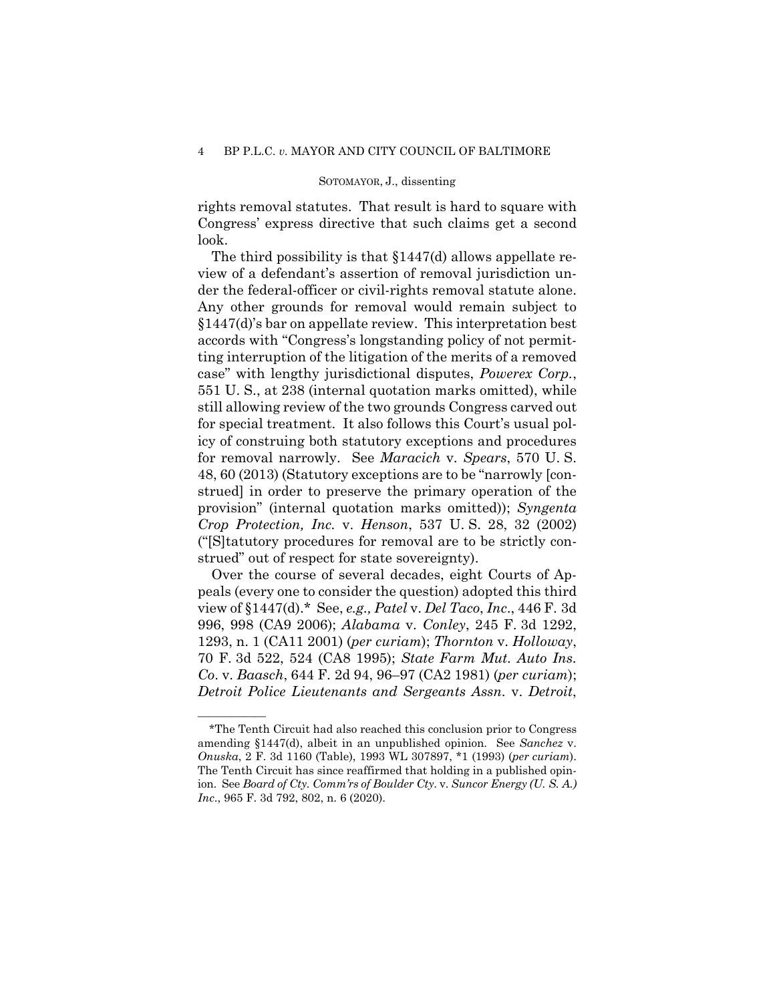### SOTOMAYOR, J., dissenting

rights removal statutes. That result is hard to square with Congress' express directive that such claims get a second look.

The third possibility is that §1447(d) allows appellate review of a defendant's assertion of removal jurisdiction under the federal-officer or civil-rights removal statute alone. Any other grounds for removal would remain subject to §1447(d)'s bar on appellate review. This interpretation best accords with "Congress's longstanding policy of not permitting interruption of the litigation of the merits of a removed case" with lengthy jurisdictional disputes, *Powerex Corp.*, 551 U. S., at 238 (internal quotation marks omitted), while still allowing review of the two grounds Congress carved out for special treatment. It also follows this Court's usual policy of construing both statutory exceptions and procedures for removal narrowly. See *Maracich* v. *Spears*, 570 U. S. 48, 60 (2013) (Statutory exceptions are to be "narrowly [construed] in order to preserve the primary operation of the provision" (internal quotation marks omitted)); *Syngenta Crop Protection, Inc.* v. *Henson*, 537 U. S. 28, 32 (2002) ("[S]tatutory procedures for removal are to be strictly construed" out of respect for state sovereignty).

Over the course of several decades, eight Courts of Appeals (every one to consider the question) adopted this third view of §1447(d).\* See, *e.g., Patel* v. *Del Taco*, *Inc*., 446 F. 3d 996, 998 (CA9 2006); *Alabama* v. *Conley*, 245 F. 3d 1292, 1293, n. 1 (CA11 2001) (*per curiam*); *Thornton* v. *Holloway*, 70 F. 3d 522, 524 (CA8 1995); *State Farm Mut. Auto Ins. Co*. v. *Baasch*, 644 F. 2d 94, 96–97 (CA2 1981) (*per curiam*); *Detroit Police Lieutenants and Sergeants Assn.* v. *Detroit*,

——————

<sup>\*</sup>The Tenth Circuit had also reached this conclusion prior to Congress amending §1447(d), albeit in an unpublished opinion. See *Sanchez* v. *Onuska*, 2 F. 3d 1160 (Table), 1993 WL 307897, \*1 (1993) (*per curiam*). The Tenth Circuit has since reaffirmed that holding in a published opinion. See *Board of Cty. Comm'rs of Boulder Cty*. v. *Suncor Energy (U. S. A.) Inc*., 965 F. 3d 792, 802, n. 6 (2020).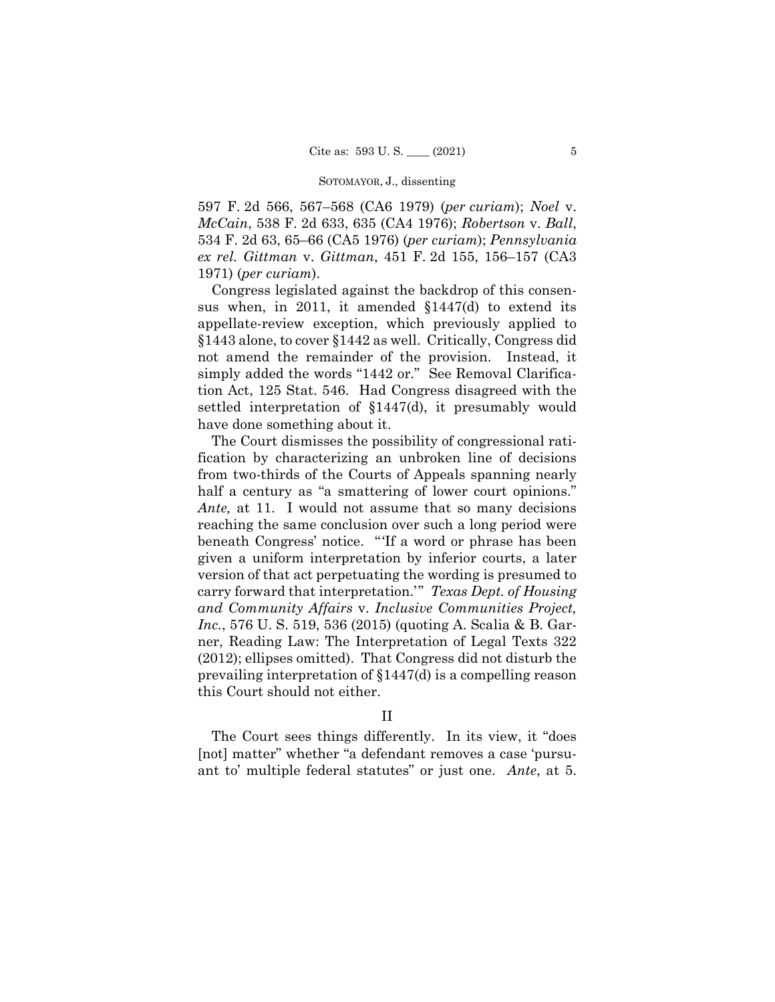597 F. 2d 566, 567–568 (CA6 1979) (*per curiam*); *Noel* v. *McCain*, 538 F. 2d 633, 635 (CA4 1976); *Robertson* v. *Ball*, 534 F. 2d 63, 65–66 (CA5 1976) (*per curiam*); *Pennsylvania ex rel. Gittman* v. *Gittman*, 451 F. 2d 155, 156–157 (CA3 1971) (*per curiam*).

Congress legislated against the backdrop of this consensus when, in 2011, it amended §1447(d) to extend its appellate-review exception, which previously applied to §1443 alone, to cover §1442 as well. Critically, Congress did not amend the remainder of the provision. Instead, it simply added the words "1442 or." See Removal Clarification Act, 125 Stat. 546. Had Congress disagreed with the settled interpretation of §1447(d), it presumably would have done something about it.

The Court dismisses the possibility of congressional ratification by characterizing an unbroken line of decisions from two-thirds of the Courts of Appeals spanning nearly half a century as "a smattering of lower court opinions." *Ante,* at 11. I would not assume that so many decisions reaching the same conclusion over such a long period were beneath Congress' notice. "'If a word or phrase has been given a uniform interpretation by inferior courts, a later version of that act perpetuating the wording is presumed to carry forward that interpretation.'" *Texas Dept. of Housing and Community Affairs* v. *Inclusive Communities Project, Inc.*, 576 U. S. 519, 536 (2015) (quoting A. Scalia & B. Garner, Reading Law: The Interpretation of Legal Texts 322 (2012); ellipses omitted). That Congress did not disturb the prevailing interpretation of §1447(d) is a compelling reason this Court should not either.

## II

 ant to' multiple federal statutes" or just one. *Ante*, at 5. The Court sees things differently. In its view, it "does [not] matter" whether "a defendant removes a case 'pursu-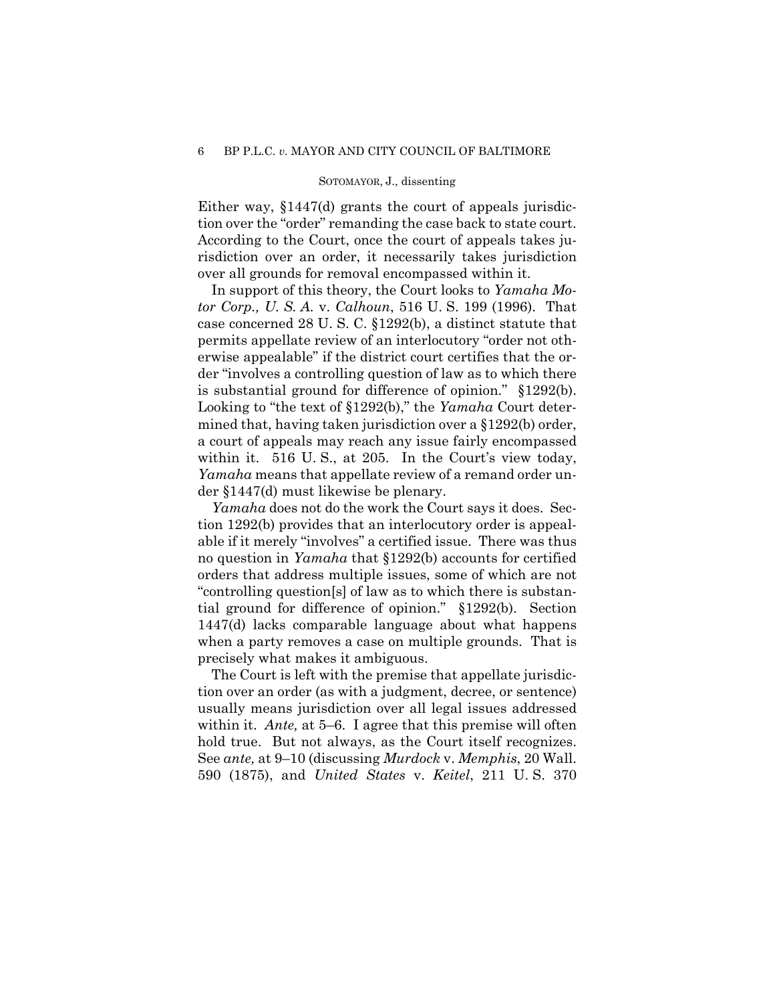Either way, §1447(d) grants the court of appeals jurisdiction over the "order" remanding the case back to state court. According to the Court, once the court of appeals takes jurisdiction over an order, it necessarily takes jurisdiction over all grounds for removal encompassed within it.

In support of this theory, the Court looks to *Yamaha Motor Corp., U. S. A.* v. *Calhoun*, 516 U. S. 199 (1996). That case concerned 28 U. S. C. §1292(b), a distinct statute that permits appellate review of an interlocutory "order not otherwise appealable" if the district court certifies that the order "involves a controlling question of law as to which there is substantial ground for difference of opinion." §1292(b). Looking to "the text of §1292(b)," the *Yamaha* Court determined that, having taken jurisdiction over a §1292(b) order, a court of appeals may reach any issue fairly encompassed within it. 516 U.S., at 205. In the Court's view today, *Yamaha* means that appellate review of a remand order under §1447(d) must likewise be plenary.

*Yamaha* does not do the work the Court says it does. Section 1292(b) provides that an interlocutory order is appealable if it merely "involves" a certified issue. There was thus no question in *Yamaha* that §1292(b) accounts for certified orders that address multiple issues, some of which are not "controlling question[s] of law as to which there is substantial ground for difference of opinion." §1292(b). Section 1447(d) lacks comparable language about what happens when a party removes a case on multiple grounds. That is precisely what makes it ambiguous.

within it. *Ante*, at 5–6. I agree that this premise will often The Court is left with the premise that appellate jurisdiction over an order (as with a judgment, decree, or sentence) usually means jurisdiction over all legal issues addressed hold true. But not always, as the Court itself recognizes. See *ante,* at 9–10 (discussing *Murdock* v. *Memphis*, 20 Wall. 590 (1875), and *United States* v. *Keitel*, 211 U. S. 370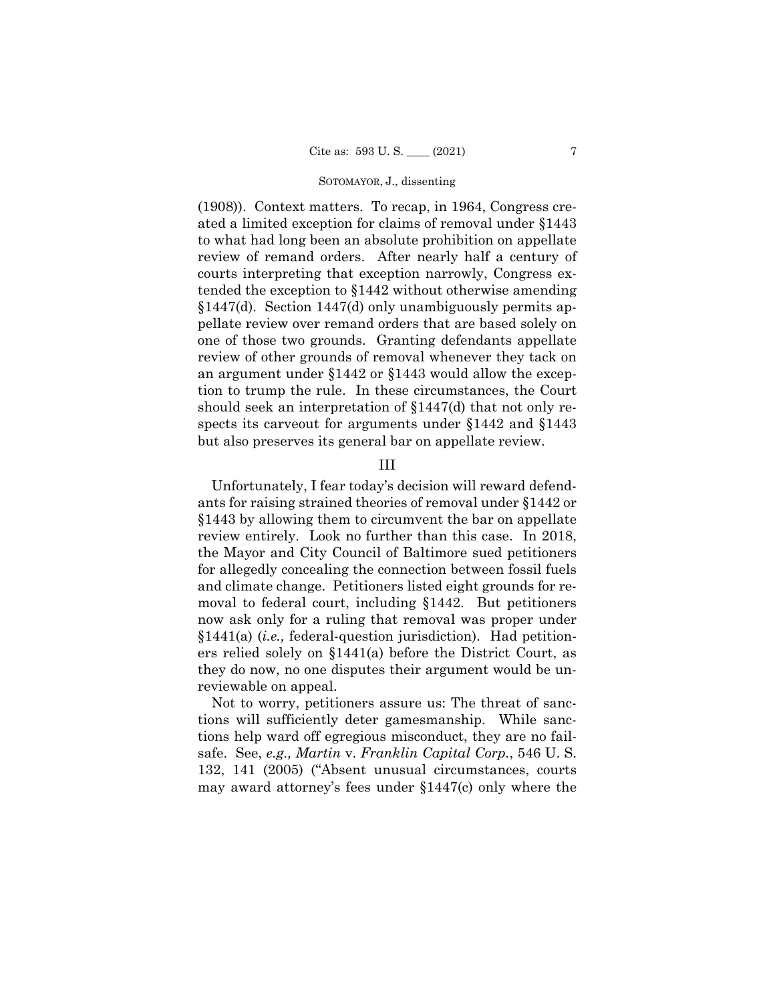(1908)). Context matters. To recap, in 1964, Congress created a limited exception for claims of removal under §1443 to what had long been an absolute prohibition on appellate review of remand orders. After nearly half a century of courts interpreting that exception narrowly, Congress extended the exception to §1442 without otherwise amending §1447(d). Section 1447(d) only unambiguously permits appellate review over remand orders that are based solely on one of those two grounds. Granting defendants appellate review of other grounds of removal whenever they tack on an argument under §1442 or §1443 would allow the exception to trump the rule. In these circumstances, the Court should seek an interpretation of §1447(d) that not only respects its carveout for arguments under §1442 and §1443 but also preserves its general bar on appellate review.

### III

Unfortunately, I fear today's decision will reward defendants for raising strained theories of removal under §1442 or §1443 by allowing them to circumvent the bar on appellate review entirely. Look no further than this case. In 2018, the Mayor and City Council of Baltimore sued petitioners for allegedly concealing the connection between fossil fuels and climate change. Petitioners listed eight grounds for removal to federal court, including §1442. But petitioners now ask only for a ruling that removal was proper under §1441(a) (*i.e.,* federal-question jurisdiction). Had petitioners relied solely on §1441(a) before the District Court, as they do now, no one disputes their argument would be unreviewable on appeal.

Not to worry, petitioners assure us: The threat of sanctions will sufficiently deter gamesmanship. While sanctions help ward off egregious misconduct, they are no failsafe. See, *e.g., Martin* v. *Franklin Capital Corp.*, 546 U. S. 132, 141 (2005) ("Absent unusual circumstances, courts may award attorney's fees under §1447(c) only where the